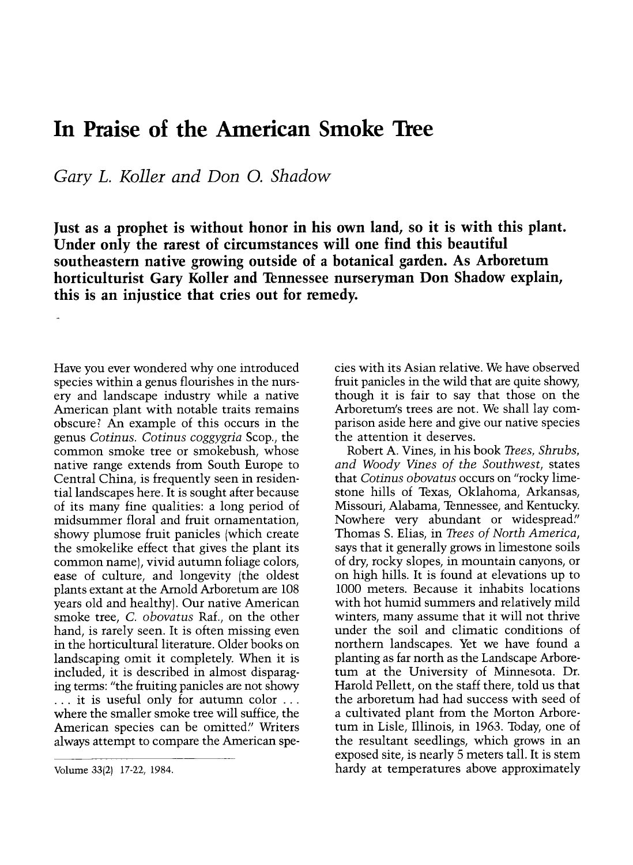## In Praise of the American Smoke Tree

Gary L. Koller and Don O. Shadow

Just as a prophet is without honor in his own land, so it is with this plant. Under only the rarest of circumstances will one find this beautiful southeastern native growing outside of a botanical garden. As Arboretum horticulturist Gary Koller and Tennessee nurseryman Don Shadow explain, this is an injustice that cries out for remedy.

Have you ever wondered why one introduced species within a genus flourishes in the nursery and landscape industry while a native American plant with notable traits remains obscure? An example of this occurs in the genus Cotinus. Cotinus coggygria Scop., the common smoke tree or smokebush, whose native range extends from South Europe to Central China, is frequently seen in residential landscapes here. It is sought after because of its many fine qualities: a long period of midsummer floral and fruit ornamentation, showy plumose fruit panicles (which create the smokelike effect that gives the plant its<br>common name), vivid autumn foliage colors, ease of culture, and longevity (the oldest plants extant at the Arnold Arboretum are 108 years old and healthy). Our native American smoke tree, C. obovatus Raf., on the other hand, is rarely seen. It is often missing even in the horticultural literature. Older books on landscaping omit it completely. When it is included, it is described in almost disparag- $\ldots$  it is useful only for autumn color  $\ldots$ where the smaller smoke tree will suffice, the American species can be omitted." Writers always attempt to compare the American species with its Asian relative. We have observed fruit panicles in the wild that are quite showy, though it is fair to say that those on the Arboretum's trees are not. We shall lay comparison aside here and give our native species the attention it deserves.

Robert A. Vines, in his book Trees, Shrubs, and Woody Vines of the Southwest, states that Cotinus obovatus occurs on "rocky limestone hills of Texas, Oklahoma, Arkansas, Missouri, Alabama, Tennessee, and Kentucky. Nowhere very abundant or widespread." Thomas S. Elias, in Trees of North America, says that it generally grows in limestone soils of dry, rocky slopes, in mountain canyons, or on high hills. It is found at elevations up to 1000 meters. Because it inhabits locations with hot humid summers and relatively mild winters, many assume that it will not thrive under the soil and climatic conditions of northern landscapes. Yet we have found a planting as far north as the Landscape Arboretum at the University of Minnesota. Dr. Harold Pellett, on the staff there, told us that the arboretum had had success with seed of a cultivated plant from the Morton Arboretum in Lisle, Illinois, in 1963. Today, one of the resultant seedlings, which grows in an exposed site, is nearly 5 meters tall. It is stem hardy at temperatures above approximately

Volume 33(2) 17-22, 1984.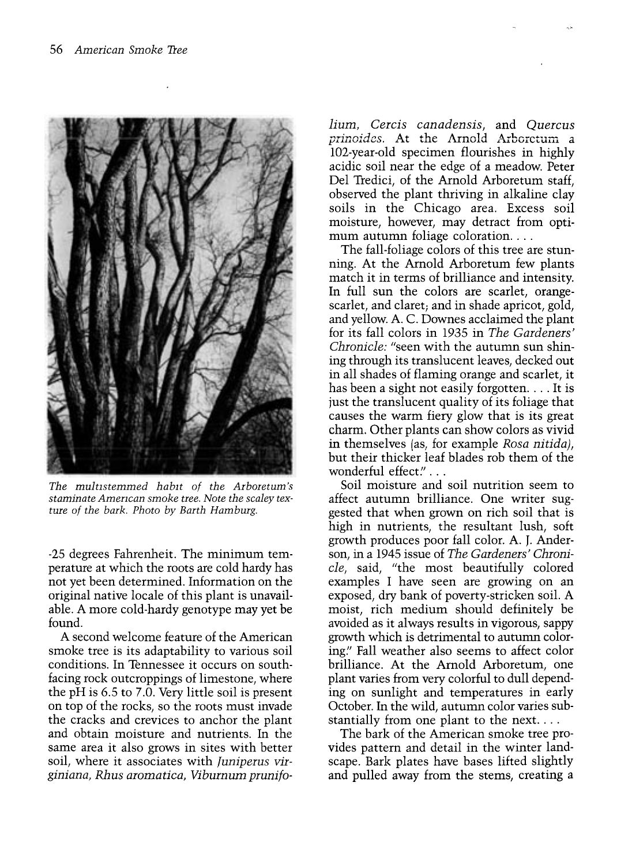

The multistemmed habit of the Arboretum's staminate Amencan smoke tree. Note the scaley texture of the bark. Photo by Barth Hamburg.

-25 degrees Fahrenheit. The minimum temperature at which the roots are cold hardy has not yet been determined. Information on the original native locale of this plant is unavailable. A more cold-hardy genotype may yet be found.

A second welcome feature of the American smoke tree is its adaptability to various soil conditions. In Tennessee it occurs on southfacing rock outcroppings of limestone, where the pH is 6.5 to 7.0. Very little soil is present on top of the rocks, so the roots must invade the cracks and crevices to anchor the plant and obtain moisture and nutrients. In the same area it also grows in sites with better soil, where it associates with *Juniperus vir*giniana, Rhus aromatica, Viburnum prunifolium, Cercis canadensis, and Quercus piinoidcs. At the Arnold Arboretum a 102-year-old specimen flourishes in highly acidic soil near the edge of a meadow. Peter Del Tredici, of the Arnold Arboretum staff, observed the plant thriving in alkaline clay soils in the Chicago area. Excess soil mum autumn foliage coloration...

The fall-foliage colors of this tree are stunning. At the Arnold Arboretum few plants match it in terms of brilliance and intensity. In full sun the colors are scarlet, orangescarlet, and claret; and in shade apricot, gold, and yellow. A. C. Downes acclaimed the plant for its fall colors in 1935 in The Gardeners' Chronicle: "seen with the autumn sun shining through its translucent leaves, decked out in all shades of flaming orange and scarlet, it has been a sight not easily forgotten.... It is just the translucent quality of its foliage that causes the warm fiery glow that is its great charm. Other plants can show colors as vivid in themselves (as, for example Rosa nitida), but their thicker leaf blades rob them of the wonderful effect."...

Soil moisture and soil nutrition seem to affect autumn brilliance. One writer suggested that when grown on rich soil that is high in nutrients, the resultant lush, soft growth produces poor fall color. A. J. Anderson, in a 1945 issue of The Gardeners' Chronicle, said, "the most beautifully colored examples I have seen are growing on an exposed, dry bank of poverty-stricken soil. A moist, rich medium should definitely be avoided as it always results in vigorous, sappy growth which is detrimental to autumn coloring." Fall weather also seems to affect color brilliance. At the Arnold Arboretum, one plant varies from very colorful to dull depending on sunlight and temperatures in early October. In the wild, autumn color varies substantially from one plant to the next....

The bark of the American smoke tree provides pattern and detail in the winter landscape. Bark plates have bases lifted slightly and pulled away from the stems, creating a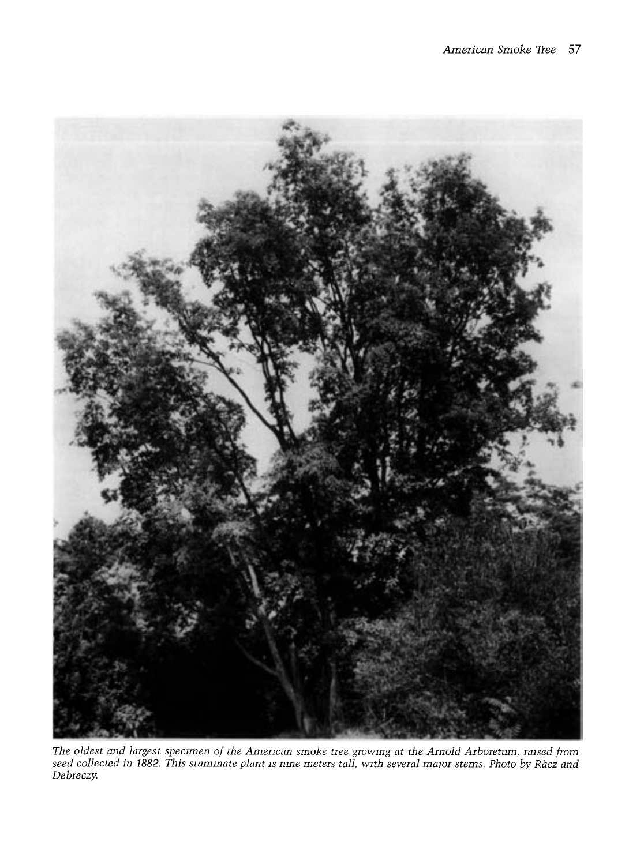

The oldest and largest specimen of the Amencan smoke tree growing at the Arnold Arboretum, raised from seed collected in 1882. This staminate plant is nine meters tall, with several major stems. Photo by Racz and Debreczy.